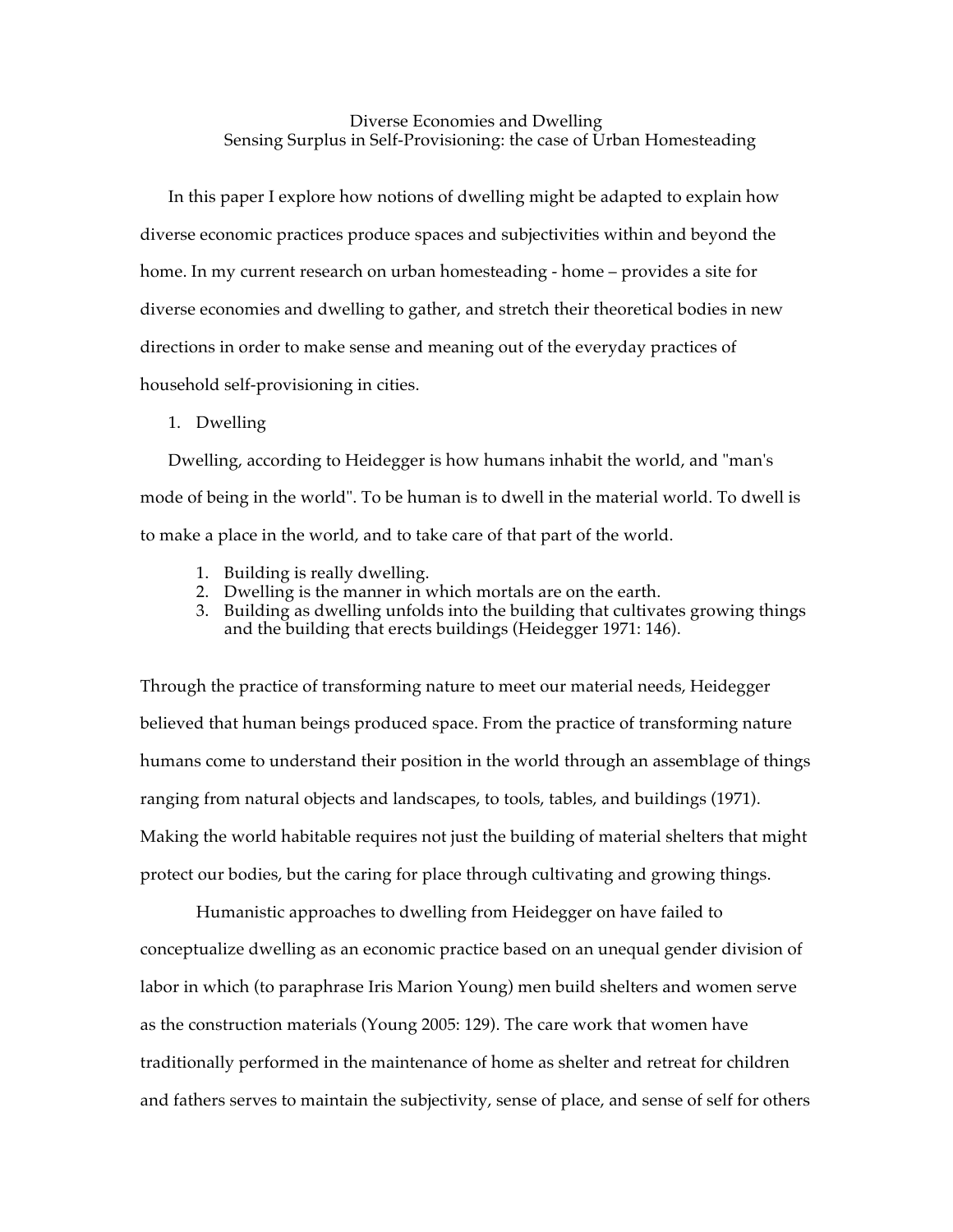Diverse Economies and Dwelling Sensing Surplus in Self-Provisioning: the case of Urban Homesteading

In this paper I explore how notions of dwelling might be adapted to explain how diverse economic practices produce spaces and subjectivities within and beyond the home. In my current research on urban homesteading - home – provides a site for diverse economies and dwelling to gather, and stretch their theoretical bodies in new directions in order to make sense and meaning out of the everyday practices of household self-provisioning in cities.

## 1. Dwelling

Dwelling, according to Heidegger is how humans inhabit the world, and "man's mode of being in the world". To be human is to dwell in the material world. To dwell is to make a place in the world, and to take care of that part of the world.

- 1. Building is really dwelling.
- 2. Dwelling is the manner in which mortals are on the earth.
- 3. Building as dwelling unfolds into the building that cultivates growing things and the building that erects buildings (Heidegger 1971: 146).

Through the practice of transforming nature to meet our material needs, Heidegger believed that human beings produced space. From the practice of transforming nature humans come to understand their position in the world through an assemblage of things ranging from natural objects and landscapes, to tools, tables, and buildings (1971). Making the world habitable requires not just the building of material shelters that might protect our bodies, but the caring for place through cultivating and growing things.

Humanistic approaches to dwelling from Heidegger on have failed to conceptualize dwelling as an economic practice based on an unequal gender division of labor in which (to paraphrase Iris Marion Young) men build shelters and women serve as the construction materials (Young 2005: 129). The care work that women have traditionally performed in the maintenance of home as shelter and retreat for children and fathers serves to maintain the subjectivity, sense of place, and sense of self for others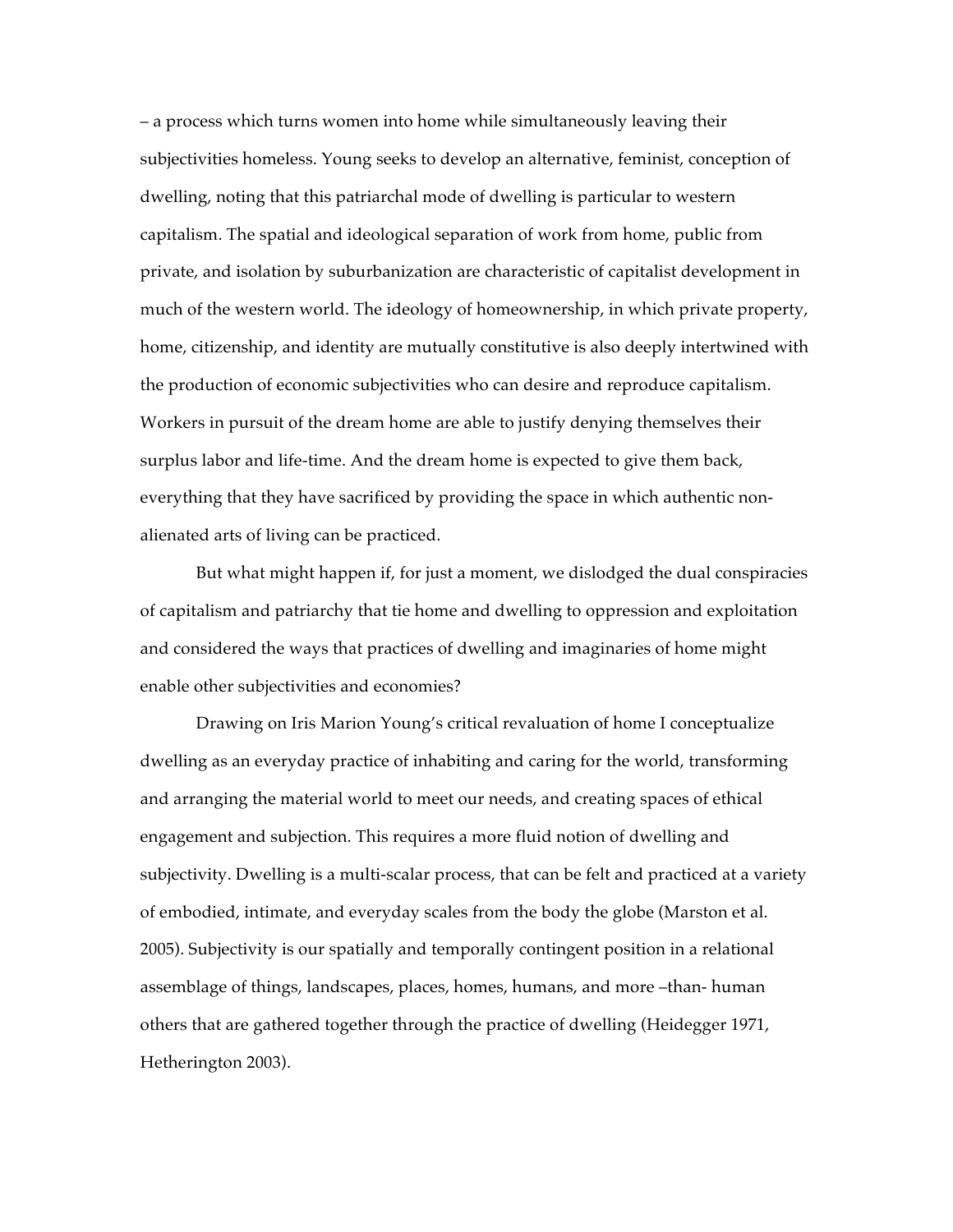– a process which turns women into home while simultaneously leaving their subjectivities homeless. Young seeks to develop an alternative, feminist, conception of dwelling, noting that this patriarchal mode of dwelling is particular to western capitalism. The spatial and ideological separation of work from home, public from private, and isolation by suburbanization are characteristic of capitalist development in much of the western world. The ideology of homeownership, in which private property, home, citizenship, and identity are mutually constitutive is also deeply intertwined with the production of economic subjectivities who can desire and reproduce capitalism. Workers in pursuit of the dream home are able to justify denying themselves their surplus labor and life-time. And the dream home is expected to give them back, everything that they have sacrificed by providing the space in which authentic nonalienated arts of living can be practiced.

But what might happen if, for just a moment, we dislodged the dual conspiracies of capitalism and patriarchy that tie home and dwelling to oppression and exploitation and considered the ways that practices of dwelling and imaginaries of home might enable other subjectivities and economies?

Drawing on Iris Marion Young's critical revaluation of home I conceptualize dwelling as an everyday practice of inhabiting and caring for the world, transforming and arranging the material world to meet our needs, and creating spaces of ethical engagement and subjection. This requires a more fluid notion of dwelling and subjectivity. Dwelling is a multi-scalar process, that can be felt and practiced at a variety of embodied, intimate, and everyday scales from the body the globe (Marston et al. 2005). Subjectivity is our spatially and temporally contingent position in a relational assemblage of things, landscapes, places, homes, humans, and more –than- human others that are gathered together through the practice of dwelling (Heidegger 1971, Hetherington 2003).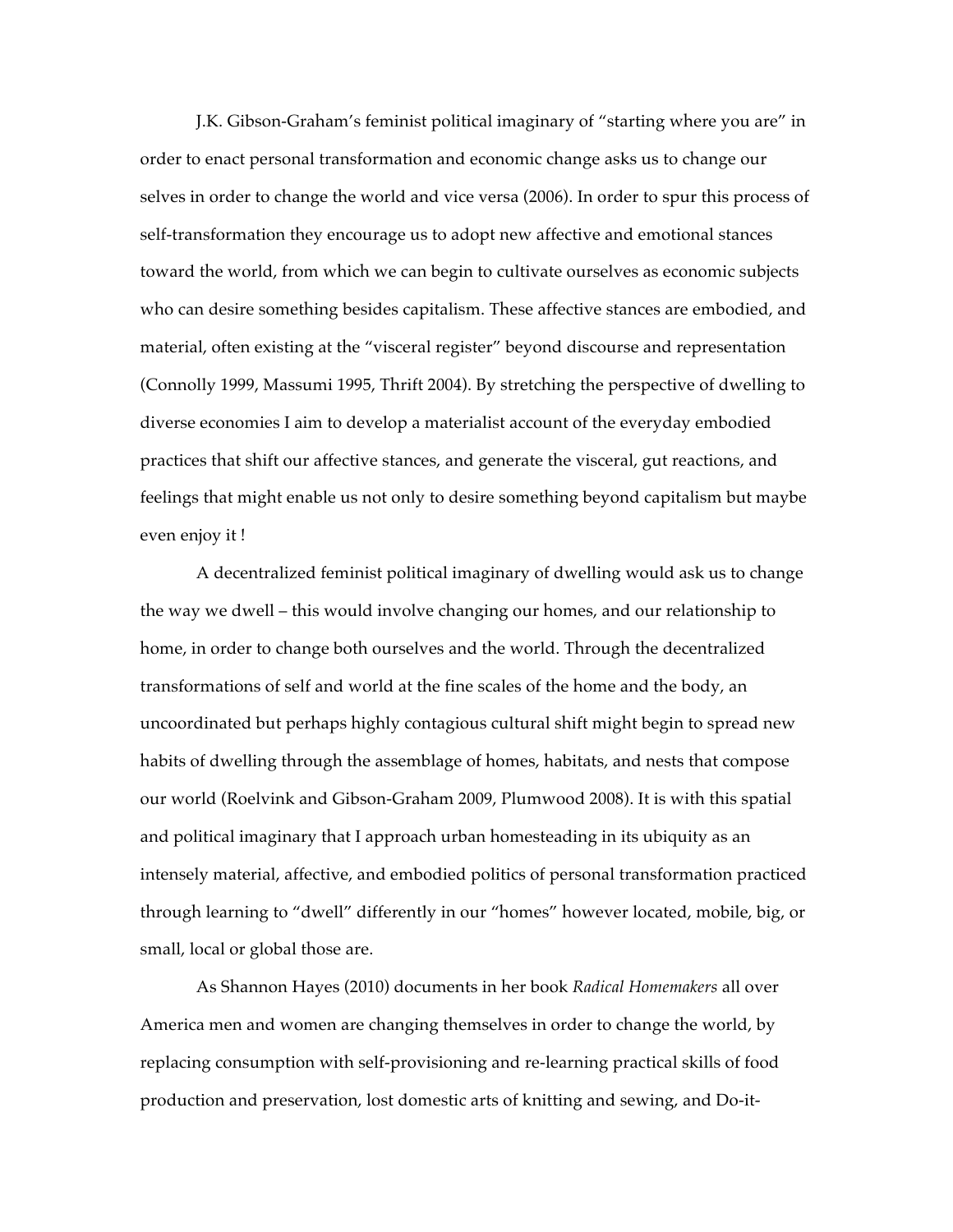J.K. Gibson-Graham's feminist political imaginary of "starting where you are" in order to enact personal transformation and economic change asks us to change our selves in order to change the world and vice versa (2006). In order to spur this process of self-transformation they encourage us to adopt new affective and emotional stances toward the world, from which we can begin to cultivate ourselves as economic subjects who can desire something besides capitalism. These affective stances are embodied, and material, often existing at the "visceral register" beyond discourse and representation (Connolly 1999, Massumi 1995, Thrift 2004). By stretching the perspective of dwelling to diverse economies I aim to develop a materialist account of the everyday embodied practices that shift our affective stances, and generate the visceral, gut reactions, and feelings that might enable us not only to desire something beyond capitalism but maybe even enjoy it !

A decentralized feminist political imaginary of dwelling would ask us to change the way we dwell – this would involve changing our homes, and our relationship to home, in order to change both ourselves and the world. Through the decentralized transformations of self and world at the fine scales of the home and the body, an uncoordinated but perhaps highly contagious cultural shift might begin to spread new habits of dwelling through the assemblage of homes, habitats, and nests that compose our world (Roelvink and Gibson-Graham 2009, Plumwood 2008). It is with this spatial and political imaginary that I approach urban homesteading in its ubiquity as an intensely material, affective, and embodied politics of personal transformation practiced through learning to "dwell" differently in our "homes" however located, mobile, big, or small, local or global those are.

As Shannon Hayes (2010) documents in her book *Radical Homemakers* all over America men and women are changing themselves in order to change the world, by replacing consumption with self-provisioning and re-learning practical skills of food production and preservation, lost domestic arts of knitting and sewing, and Do-it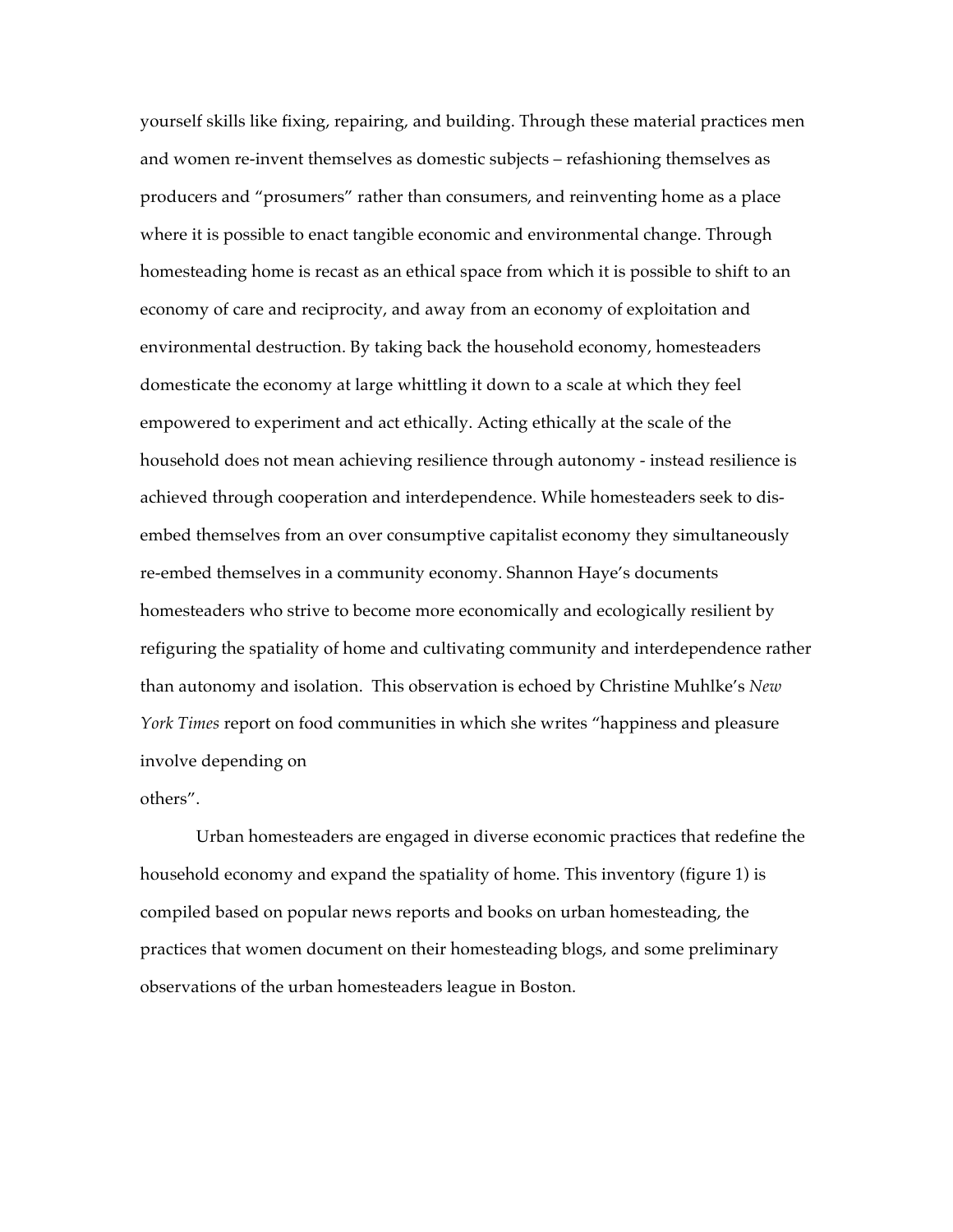yourself skills like fixing, repairing, and building. Through these material practices men and women re-invent themselves as domestic subjects – refashioning themselves as producers and "prosumers" rather than consumers, and reinventing home as a place where it is possible to enact tangible economic and environmental change. Through homesteading home is recast as an ethical space from which it is possible to shift to an economy of care and reciprocity, and away from an economy of exploitation and environmental destruction. By taking back the household economy, homesteaders domesticate the economy at large whittling it down to a scale at which they feel empowered to experiment and act ethically. Acting ethically at the scale of the household does not mean achieving resilience through autonomy - instead resilience is achieved through cooperation and interdependence. While homesteaders seek to disembed themselves from an over consumptive capitalist economy they simultaneously re-embed themselves in a community economy. Shannon Haye's documents homesteaders who strive to become more economically and ecologically resilient by refiguring the spatiality of home and cultivating community and interdependence rather than autonomy and isolation. This observation is echoed by Christine Muhlke's *New York Times* report on food communities in which she writes "happiness and pleasure involve depending on

others".

Urban homesteaders are engaged in diverse economic practices that redefine the household economy and expand the spatiality of home. This inventory (figure 1) is compiled based on popular news reports and books on urban homesteading, the practices that women document on their homesteading blogs, and some preliminary observations of the urban homesteaders league in Boston.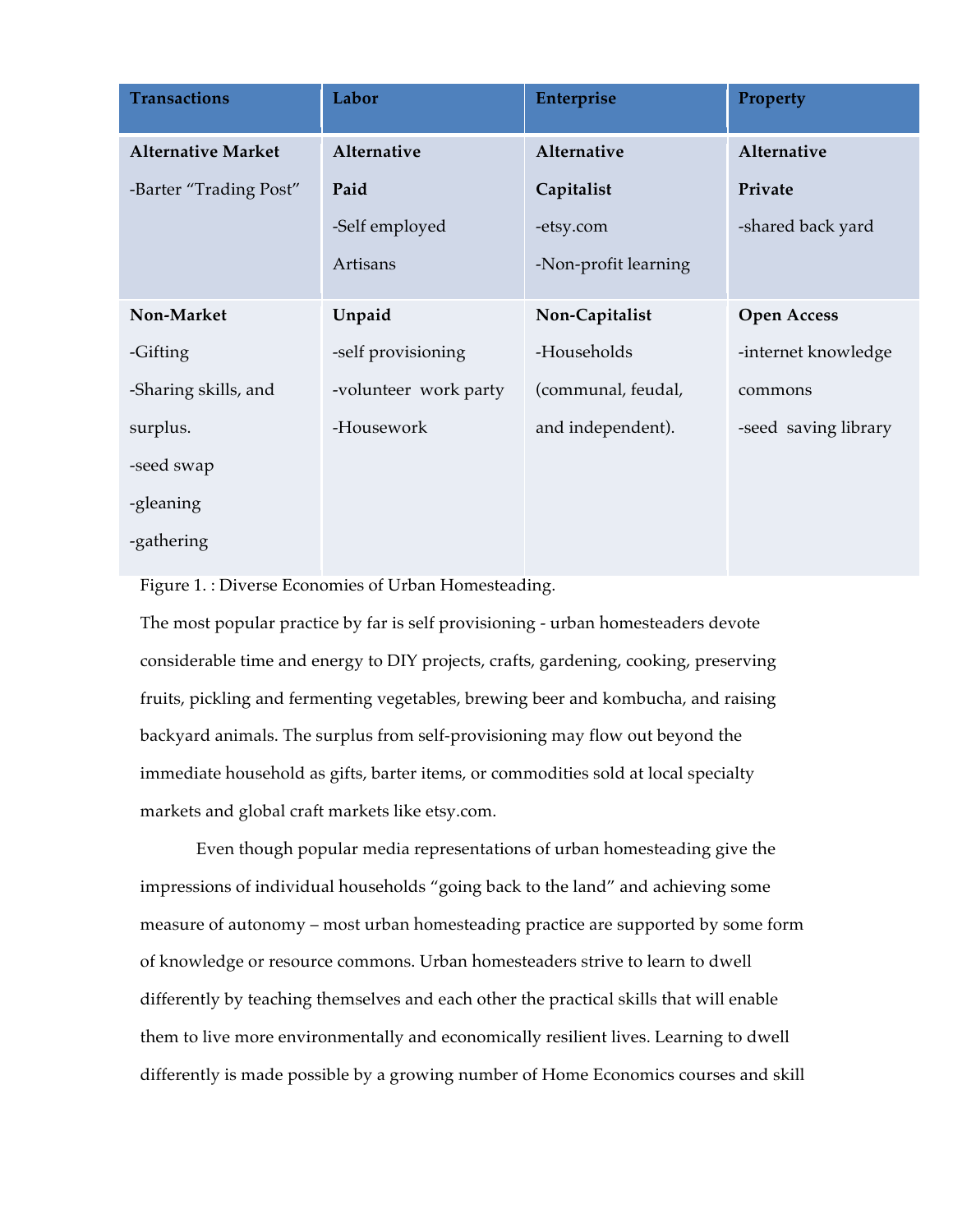| <b>Transactions</b>       | Labor                 | Enterprise           | Property             |
|---------------------------|-----------------------|----------------------|----------------------|
| <b>Alternative Market</b> | Alternative           | Alternative          | Alternative          |
| -Barter "Trading Post"    | Paid                  | Capitalist           | Private              |
|                           | -Self employed        | -etsy.com            | -shared back yard    |
|                           | Artisans              | -Non-profit learning |                      |
| Non-Market                | Unpaid                | Non-Capitalist       | <b>Open Access</b>   |
| -Gifting                  | -self provisioning    | -Households          | -internet knowledge  |
| -Sharing skills, and      | -volunteer work party | (communal, feudal,   | commons              |
| surplus.                  | -Housework            | and independent).    | -seed saving library |
| -seed swap                |                       |                      |                      |
| -gleaning                 |                       |                      |                      |
| -gathering                |                       |                      |                      |

Figure 1. : Diverse Economies of Urban Homesteading.

The most popular practice by far is self provisioning - urban homesteaders devote considerable time and energy to DIY projects, crafts, gardening, cooking, preserving fruits, pickling and fermenting vegetables, brewing beer and kombucha, and raising backyard animals. The surplus from self-provisioning may flow out beyond the immediate household as gifts, barter items, or commodities sold at local specialty markets and global craft markets like etsy.com.

Even though popular media representations of urban homesteading give the impressions of individual households "going back to the land" and achieving some measure of autonomy – most urban homesteading practice are supported by some form of knowledge or resource commons. Urban homesteaders strive to learn to dwell differently by teaching themselves and each other the practical skills that will enable them to live more environmentally and economically resilient lives. Learning to dwell differently is made possible by a growing number of Home Economics courses and skill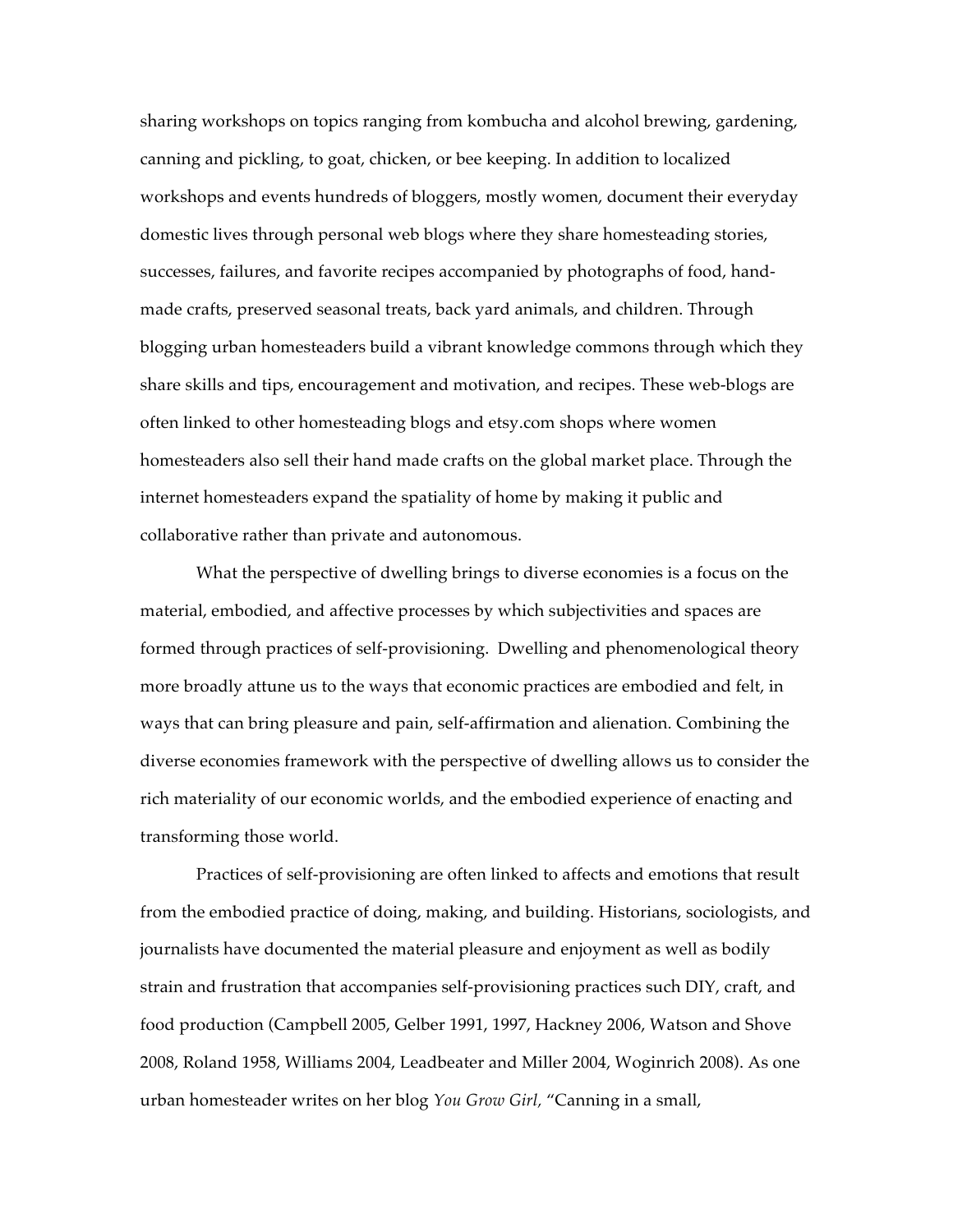sharing workshops on topics ranging from kombucha and alcohol brewing, gardening, canning and pickling, to goat, chicken, or bee keeping. In addition to localized workshops and events hundreds of bloggers, mostly women, document their everyday domestic lives through personal web blogs where they share homesteading stories, successes, failures, and favorite recipes accompanied by photographs of food, handmade crafts, preserved seasonal treats, back yard animals, and children. Through blogging urban homesteaders build a vibrant knowledge commons through which they share skills and tips, encouragement and motivation, and recipes. These web-blogs are often linked to other homesteading blogs and etsy.com shops where women homesteaders also sell their hand made crafts on the global market place. Through the internet homesteaders expand the spatiality of home by making it public and collaborative rather than private and autonomous.

What the perspective of dwelling brings to diverse economies is a focus on the material, embodied, and affective processes by which subjectivities and spaces are formed through practices of self-provisioning. Dwelling and phenomenological theory more broadly attune us to the ways that economic practices are embodied and felt, in ways that can bring pleasure and pain, self-affirmation and alienation. Combining the diverse economies framework with the perspective of dwelling allows us to consider the rich materiality of our economic worlds, and the embodied experience of enacting and transforming those world.

Practices of self-provisioning are often linked to affects and emotions that result from the embodied practice of doing, making, and building. Historians, sociologists, and journalists have documented the material pleasure and enjoyment as well as bodily strain and frustration that accompanies self-provisioning practices such DIY, craft, and food production (Campbell 2005, Gelber 1991, 1997, Hackney 2006, Watson and Shove 2008, Roland 1958, Williams 2004, Leadbeater and Miller 2004, Woginrich 2008). As one urban homesteader writes on her blog *You Grow Girl,* "Canning in a small,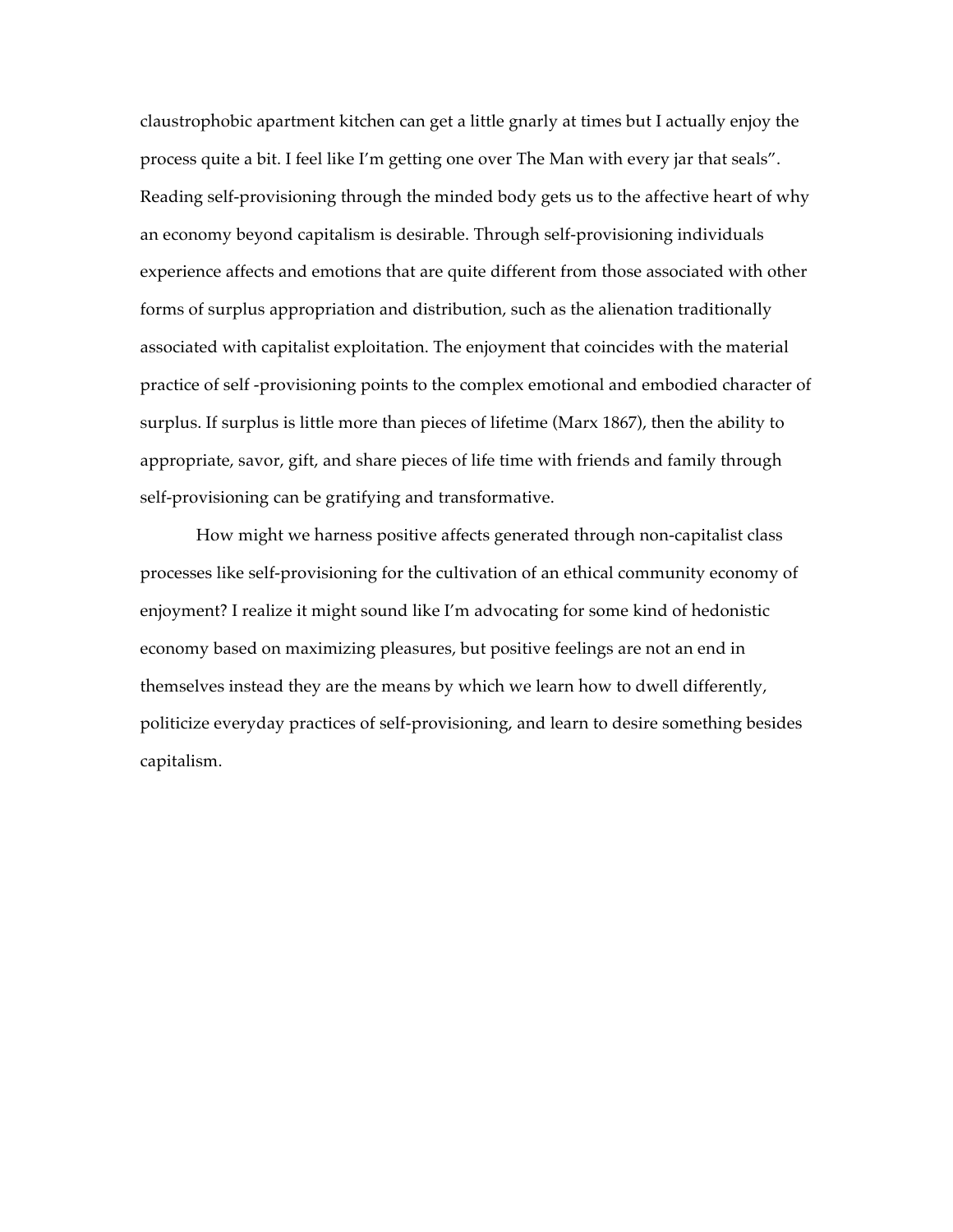claustrophobic apartment kitchen can get a little gnarly at times but I actually enjoy the process quite a bit. I feel like I'm getting one over The Man with every jar that seals". Reading self-provisioning through the minded body gets us to the affective heart of why an economy beyond capitalism is desirable. Through self-provisioning individuals experience affects and emotions that are quite different from those associated with other forms of surplus appropriation and distribution, such as the alienation traditionally associated with capitalist exploitation. The enjoyment that coincides with the material practice of self -provisioning points to the complex emotional and embodied character of surplus. If surplus is little more than pieces of lifetime (Marx 1867), then the ability to appropriate, savor, gift, and share pieces of life time with friends and family through self-provisioning can be gratifying and transformative.

How might we harness positive affects generated through non-capitalist class processes like self-provisioning for the cultivation of an ethical community economy of enjoyment? I realize it might sound like I'm advocating for some kind of hedonistic economy based on maximizing pleasures, but positive feelings are not an end in themselves instead they are the means by which we learn how to dwell differently, politicize everyday practices of self-provisioning, and learn to desire something besides capitalism.